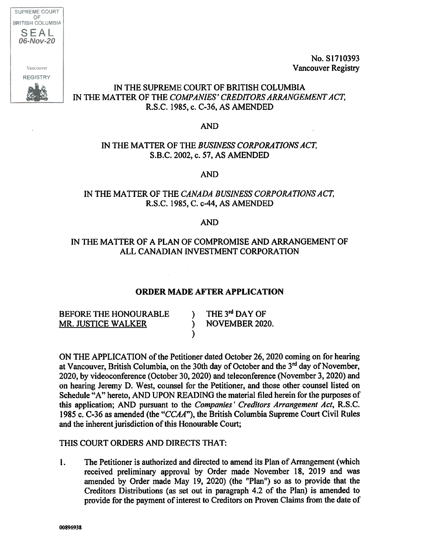SUPREME COURT OF BRITISH COLUMBIA SEAL *06-Nov-20* Vancouver**REGISTRY** 

No. S1710393 Vancouver Registry

# IN THE SUPREME COURT OF BRITISH COLUMBIA IN THE MATTER OF THE COMPANIES' CREDITORS ARRANGEMENT ACT, R.S.C. 1985, c. C-36, AS AMENDED

### AND

### IN THE MATTER OF THE BUSINESS CORPORATIONS ACT, S.B.C. 2002, c. 57, AS AMENDED

AND

# IN THE MATTER OF THE CANADA BUSINESS CORPORATIONS ACT, R.S.C. 1985, C. c-44, AS AMENDED

#### AND

# IN THE MATTER OF A PLAN OF COMPROMISE AND ARRANGEMENT OF ALL CANADIAN INVESTMENT CORPORATION

### ORDER MADE AFTER APPLICATION

BEFORE THE HONOURABLE MR. JUSTICE WALKER

) THE  $3^{\text{rd}}$  DAY OF ) NOVEMBER 2020.

ON THE APPLICATION of the Petitioner dated October 26, 2020 coming on for hearing at Vancouver, British Columbia, on the 30th day of October and the 3<sup>rd</sup> day of November, 2020, by videoconference (October 30, 2020) and teleconference (November 3, 2020) and on hearing Jeremy D. West, counsel for the Petitioner, and those other counsel listed on Schedule "A" hereto, AND UPON READING the material filed herein for the purposes of this application; AND pursuant to the Companies' Creditors Arrangement Act, R.S.C. 1985 c. C-36 as amended (the "CCAA"), the British Columbia Supreme Court Civil Rules and the inherent jurisdiction of this Honourable Court;

### THIS COURT ORDERS AND DIRECTS THAT:

1. The Petitioner is authorized and directed to amend its Plan of Arrangement (which received preliminary approval by Order made November 18, 2019 and was amended by Order made May 19, 2020) (the "Plan") so as to provide that the Creditors Distributions (as set out in paragraph 4.2 of the Plan) is amended to provide for the payment of interest to Creditors on Proven Claims from the date of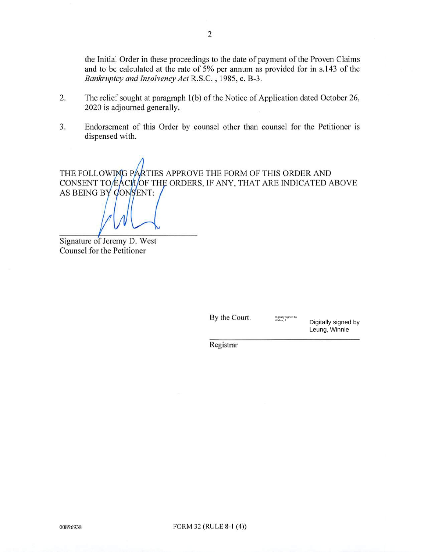the Initial Order in these proceedings to the date of payment of the Proven Claims and to be calculated at the rate of 5% per annum as provided for in s.143 of the Bankruptcy and Insolvency Act R.S.C. , 1985, c. B-3.

- 2. The relief sought at paragraph 1(b) of the Notice of Application dated October 26, 2020 is adjourned generally.
- 3. Endorsement of this Order by counsel other than counsel for the Petitioner is dispensed with.

THE FOLLOWING PARTIES APPROVE THE FORM OF THIS ORDER AND CONSENT TO EACH OF THE ORDERS, IF ANY, THAT ARE INDICATED ABOVE AS BEING BY CONSENT:

Signature of Jeremy D. West Counsel for the Petitioner

By the Court.

Digitally signed by Leung, Winnie

Digitally signed by<br>Walker, J

Registrar

 $\frac{1}{2000}$   $\frac{1}{2000}$   $\frac{1}{2000}$   $\frac{1}{2000}$   $\frac{1}{2000}$   $\frac{1}{2000}$   $\frac{1}{2000}$   $\frac{1}{2000}$   $\frac{1}{2000}$   $\frac{1}{2000}$   $\frac{1}{2000}$   $\frac{1}{2000}$   $\frac{1}{2000}$   $\frac{1}{2000}$   $\frac{1}{2000}$   $\frac{1}{2000}$   $\frac{1}{2000}$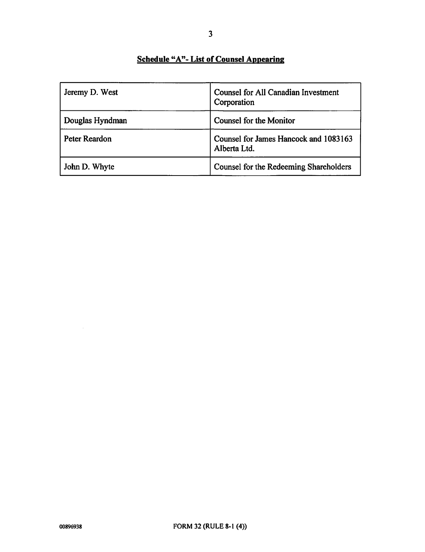# Schedule "A"- List of Counsel Appearing

| Jeremy D. West  | <b>Counsel for All Canadian Investment</b><br>Corporation |
|-----------------|-----------------------------------------------------------|
| Douglas Hyndman | <b>Counsel for the Monitor</b>                            |
| Peter Reardon   | Counsel for James Hancock and 1083163<br>Alberta Ltd.     |
| John D. Whyte   | Counsel for the Redeeming Shareholders                    |